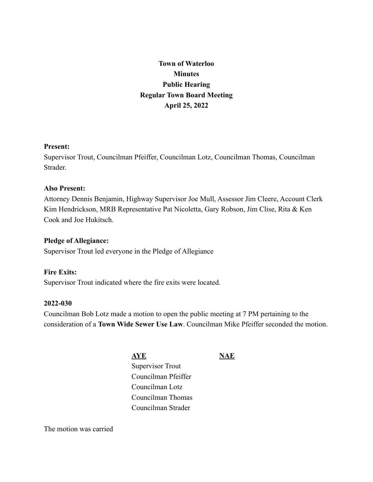**Town of Waterloo Minutes Public Hearing Regular Town Board Meeting April 25, 2022**

### **Present:**

Supervisor Trout, Councilman Pfeiffer, Councilman Lotz, Councilman Thomas, Councilman **Strader** 

### **Also Present:**

Attorney Dennis Benjamin, Highway Supervisor Joe Mull, Assessor Jim Cleere, Account Clerk Kim Hendrickson, MRB Representative Pat Nicoletta, Gary Robson, Jim Clise, Rita & Ken Cook and Joe Hukitsch.

### **Pledge of Allegiance:**

Supervisor Trout led everyone in the Pledge of Allegiance

### **Fire Exits:**

Supervisor Trout indicated where the fire exits were located.

#### **2022-030**

Councilman Bob Lotz made a motion to open the public meeting at 7 PM pertaining to the consideration of a **Town Wide Sewer Use Law**. Councilman Mike Pfeiffer seconded the motion.

> **AYE NAE** Supervisor Trout Councilman Pfeiffer Councilman Lotz Councilman Thomas Councilman Strader

The motion was carried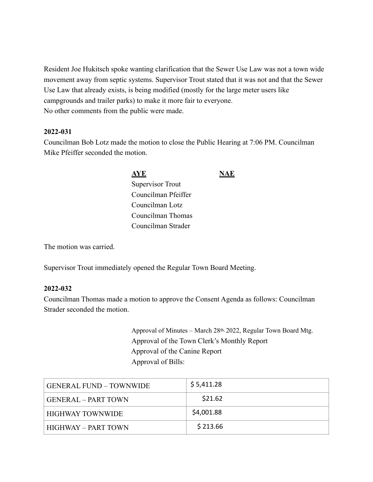Resident Joe Hukitsch spoke wanting clarification that the Sewer Use Law was not a town wide movement away from septic systems. Supervisor Trout stated that it was not and that the Sewer Use Law that already exists, is being modified (mostly for the large meter users like campgrounds and trailer parks) to make it more fair to everyone. No other comments from the public were made.

### **2022-031**

Councilman Bob Lotz made the motion to close the Public Hearing at 7:06 PM. Councilman Mike Pfeiffer seconded the motion.

> **AYE NAE** Supervisor Trout Councilman Pfeiffer Councilman Lotz Councilman Thomas Councilman Strader

The motion was carried.

Supervisor Trout immediately opened the Regular Town Board Meeting.

### **2022-032**

Councilman Thomas made a motion to approve the Consent Agenda as follows: Councilman Strader seconded the motion.

> Approval of Minutes – March 28th, 2022, Regular Town Board Mtg. Approval of the Town Clerk's Monthly Report Approval of the Canine Report Approval of Bills:

| GENERAL FUND – TOWNWIDE | \$5,411.28 |
|-------------------------|------------|
| GENERAL – PART TOWN     | \$21.62    |
| HIGHWAY TOWNWIDE_       | \$4,001.88 |
| HIGHWAY – PART TOWN     | \$213.66   |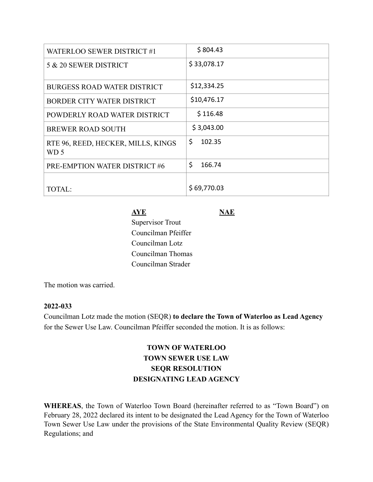| <b>WATERLOO SEWER DISTRICT #1</b>          | \$804.43     |
|--------------------------------------------|--------------|
| 5 & 20 SEWER DISTRICT                      | \$33,078.17  |
| <b>BURGESS ROAD WATER DISTRICT</b>         | \$12,334.25  |
| BORDER CITY WATER DISTRICT                 | \$10,476.17  |
| POWDERLY ROAD WATER DISTRICT               | \$116.48     |
| <b>BREWER ROAD SOUTH</b>                   | \$3,043.00   |
| RTE 96, REED, HECKER, MILLS, KINGS<br>WD 5 | \$<br>102.35 |
| PRE-EMPTION WATER DISTRICT #6              | \$<br>166.74 |
| <b>TOTAL:</b>                              | \$69,770.03  |

# **AYE NAE**

Supervisor Trout Councilman Pfeiffer Councilman Lotz Councilman Thomas Councilman Strader

The motion was carried.

### **2022-033**

Councilman Lotz made the motion (SEQR) **to declare the Town of Waterloo as Lead Agency** for the Sewer Use Law. Councilman Pfeiffer seconded the motion. It is as follows:

# **TOWN OF WATERLOO TOWN SEWER USE LAW SEQR RESOLUTION DESIGNATING LEAD AGENCY**

**WHEREAS**, the Town of Waterloo Town Board (hereinafter referred to as "Town Board") on February 28, 2022 declared its intent to be designated the Lead Agency for the Town of Waterloo Town Sewer Use Law under the provisions of the State Environmental Quality Review (SEQR) Regulations; and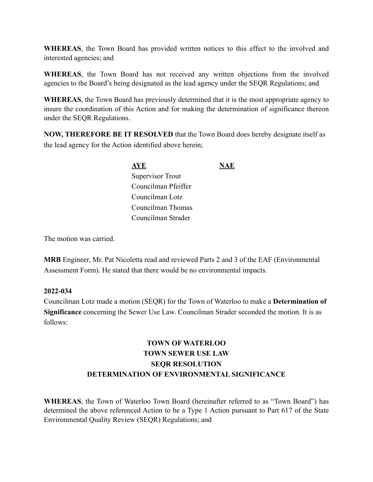**WHEREAS**, the Town Board has provided written notices to this effect to the involved and interested agencies; and

**WHEREAS**, the Town Board has not received any written objections from the involved agencies to the Board's being designated as the lead agency under the SEQR Regulations; and

**WHEREAS**, the Town Board has previously determined that it is the most appropriate agency to insure the coordination of this Action and for making the determination of significance thereon under the SEQR Regulations.

**NOW, THEREFORE BE IT RESOLVED** that the Town Board does hereby designate itself as the lead agency for the Action identified above herein;

> **AYE NAE** Supervisor Trout Councilman Pfeiffer Councilman Lotz Councilman Thomas Councilman Strader

The motion was carried.

**MRB** Engineer, Mr. Pat Nicoletta read and reviewed Parts 2 and 3 of the EAF (Environmental Assessment Form). He stated that there would be no environmental impacts.

### **2022-034**

Councilman Lotz made a motion (SEQR) for the Town of Waterloo to make a **Determination of Significance** concerning the Sewer Use Law. Councilman Strader seconded the motion. It is as follows:

# **TOWN OF WATERLOO TOWN SEWER USE LAW SEQR RESOLUTION DETERMINATION OF ENVIRONMENTAL SIGNIFICANCE**

**WHEREAS**, the Town of Waterloo Town Board (hereinafter referred to as "Town Board") has determined the above referenced Action to be a Type 1 Action pursuant to Part 617 of the State Environmental Quality Review (SEQR) Regulations; and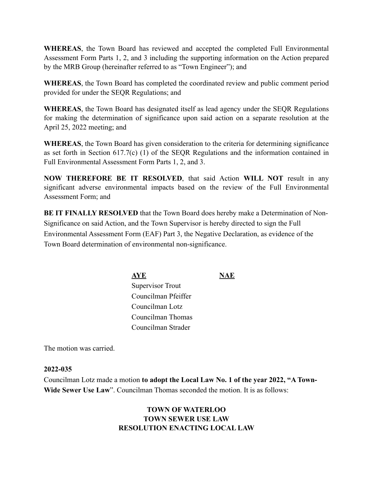**WHEREAS**, the Town Board has reviewed and accepted the completed Full Environmental Assessment Form Parts 1, 2, and 3 including the supporting information on the Action prepared by the MRB Group (hereinafter referred to as "Town Engineer"); and

**WHEREAS**, the Town Board has completed the coordinated review and public comment period provided for under the SEQR Regulations; and

**WHEREAS**, the Town Board has designated itself as lead agency under the SEQR Regulations for making the determination of significance upon said action on a separate resolution at the April 25, 2022 meeting; and

**WHEREAS**, the Town Board has given consideration to the criteria for determining significance as set forth in Section 617.7(c) (1) of the SEQR Regulations and the information contained in Full Environmental Assessment Form Parts 1, 2, and 3.

**NOW THEREFORE BE IT RESOLVED**, that said Action **WILL NOT** result in any significant adverse environmental impacts based on the review of the Full Environmental Assessment Form; and

**BE IT FINALLY RESOLVED** that the Town Board does hereby make a Determination of Non-Significance on said Action, and the Town Supervisor is hereby directed to sign the Full Environmental Assessment Form (EAF) Part 3, the Negative Declaration, as evidence of the Town Board determination of environmental non-significance.

> **AYE NAE** Supervisor Trout Councilman Pfeiffer Councilman Lotz Councilman Thomas Councilman Strader

The motion was carried.

## **2022-035**

Councilman Lotz made a motion **to adopt the Local Law No. 1 of the year 2022, "A Town-Wide Sewer Use Law**". Councilman Thomas seconded the motion. It is as follows:

# **TOWN OF WATERLOO TOWN SEWER USE LAW RESOLUTION ENACTING LOCAL LAW**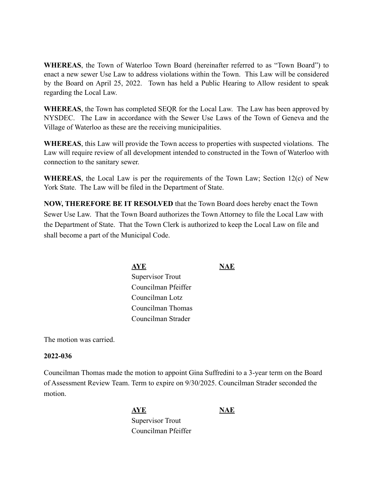**WHEREAS**, the Town of Waterloo Town Board (hereinafter referred to as "Town Board") to enact a new sewer Use Law to address violations within the Town. This Law will be considered by the Board on April 25, 2022. Town has held a Public Hearing to Allow resident to speak regarding the Local Law.

**WHEREAS**, the Town has completed SEQR for the Local Law. The Law has been approved by NYSDEC. The Law in accordance with the Sewer Use Laws of the Town of Geneva and the Village of Waterloo as these are the receiving municipalities.

**WHEREAS**, this Law will provide the Town access to properties with suspected violations. The Law will require review of all development intended to constructed in the Town of Waterloo with connection to the sanitary sewer.

**WHEREAS**, the Local Law is per the requirements of the Town Law; Section 12(c) of New York State. The Law will be filed in the Department of State.

**NOW, THEREFORE BE IT RESOLVED** that the Town Board does hereby enact the Town Sewer Use Law. That the Town Board authorizes the Town Attorney to file the Local Law with the Department of State. That the Town Clerk is authorized to keep the Local Law on file and shall become a part of the Municipal Code.

> **AYE NAE** Supervisor Trout Councilman Pfeiffer Councilman Lotz Councilman Thomas Councilman Strader

The motion was carried.

### **2022-036**

Councilman Thomas made the motion to appoint Gina Suffredini to a 3-year term on the Board of Assessment Review Team. Term to expire on 9/30/2025. Councilman Strader seconded the motion.

> **AYE NAE** Supervisor Trout Councilman Pfeiffer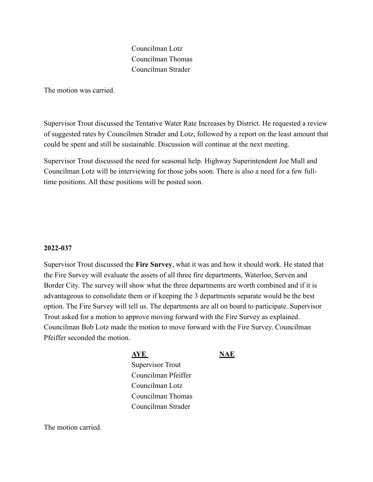Councilman Lotz Councilman Thomas Councilman Strader

The motion was carried.

Supervisor Trout discussed the Tentative Water Rate Increases by District. He requested a review of suggested rates by Councilmen Strader and Lotz, followed by a report on the least amount that could be spent and still be sustainable. Discussion will continue at the next meeting.

Supervisor Trout discussed the need for seasonal help. Highway Superintendent Joe Mull and Councilman Lotz will be interviewing for those jobs soon. There is also a need for a few fulltime positions. All these positions will be posted soon.

### **2022-037**

Supervisor Trout discussed the **Fire Survey**, what it was and how it should work. He stated that the Fire Survey will evaluate the assets of all three fire departments, Waterloo, Serven and Border City. The survey will show what the three departments are worth combined and if it is advantageous to consolidate them or if keeping the 3 departments separate would be the best option. The Fire Survey will tell us. The departments are all on board to participate. Supervisor Trout asked for a motion to approve moving forward with the Fire Survey as explained. Councilman Bob Lotz made the motion to move forward with the Fire Survey. Councilman Pfeiffer seconded the motion.

#### **AYE NAE**

Supervisor Trout Councilman Pfeiffer Councilman Lotz Councilman Thomas Councilman Strader

The motion carried.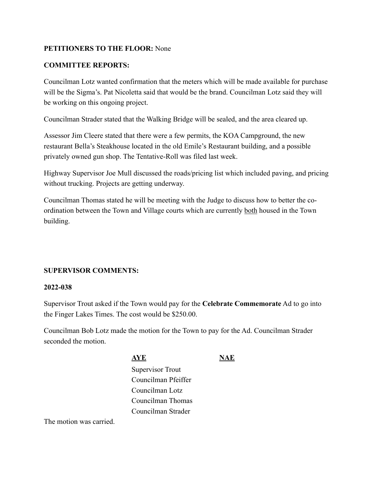## **PETITIONERS TO THE FLOOR:** None

## **COMMITTEE REPORTS:**

Councilman Lotz wanted confirmation that the meters which will be made available for purchase will be the Sigma's. Pat Nicoletta said that would be the brand. Councilman Lotz said they will be working on this ongoing project.

Councilman Strader stated that the Walking Bridge will be sealed, and the area cleared up.

Assessor Jim Cleere stated that there were a few permits, the KOA Campground, the new restaurant Bella's Steakhouse located in the old Emile's Restaurant building, and a possible privately owned gun shop. The Tentative-Roll was filed last week.

Highway Supervisor Joe Mull discussed the roads/pricing list which included paving, and pricing without trucking. Projects are getting underway.

Councilman Thomas stated he will be meeting with the Judge to discuss how to better the coordination between the Town and Village courts which are currently both housed in the Town building.

### **SUPERVISOR COMMENTS:**

### **2022-038**

Supervisor Trout asked if the Town would pay for the **Celebrate Commemorate** Ad to go into the Finger Lakes Times. The cost would be \$250.00.

Councilman Bob Lotz made the motion for the Town to pay for the Ad. Councilman Strader seconded the motion.

| AYE                     |  |
|-------------------------|--|
| <b>Supervisor Trout</b> |  |
| Councilman Pfeiffer     |  |
| Councilman Lotz         |  |
| Councilman Thomas       |  |
| Councilman Strader      |  |
|                         |  |

The motion was carried.